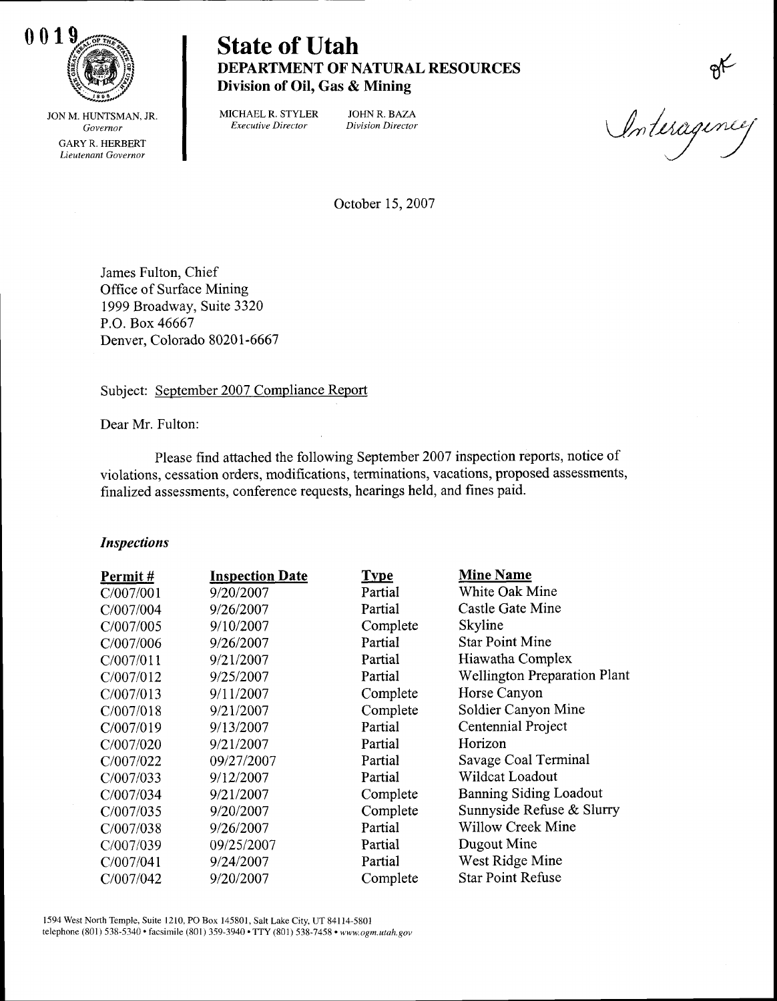

# DEPARTMENT OF NATURAL RESOURCES Division of Oil, Gas & Mining

JON M. HUNTSMAN, JR. Governor GARYR, HERBERT Lieutenant Governor

MICHAEL R. STYLER JOHN R. BAZA Executive Director Division Director

or<br>Interagences

October 15,2007

James Fulton, Chief Office of Surface Mining 1999 Broadway, Suite 3320 P.O. Box 46667 Denvet, Colorado 80201 -6667

Subject: September 2007 Compliance Report

Dear Mr. Fulton:

Please find attached the following September 2007 inspection reports, notice of violations, cessation orders, modifications, terminations, vacations, proposed assessments, finalized assessments, conference requests, hearings held, and fines paid.

#### Inspections

| Permit#   | <b>Inspection Date</b> | <b>Type</b> | <b>Mine Name</b>                    |
|-----------|------------------------|-------------|-------------------------------------|
| C/007/001 | 9/20/2007              | Partial     | White Oak Mine                      |
| C/007/004 | 9/26/2007              | Partial     | Castle Gate Mine                    |
| C/007/005 | 9/10/2007              | Complete    | Skyline                             |
| C/007/006 | 9/26/2007              | Partial     | <b>Star Point Mine</b>              |
| C/007/011 | 9/21/2007              | Partial     | Hiawatha Complex                    |
| C/007/012 | 9/25/2007              | Partial     | <b>Wellington Preparation Plant</b> |
| C/007/013 | 9/11/2007              | Complete    | Horse Canyon                        |
| C/007/018 | 9/21/2007              | Complete    | Soldier Canyon Mine                 |
| C/007/019 | 9/13/2007              | Partial     | Centennial Project                  |
| C/007/020 | 9/21/2007              | Partial     | Horizon                             |
| C/007/022 | 09/27/2007             | Partial     | Savage Coal Terminal                |
| C/007/033 | 9/12/2007              | Partial     | Wildcat Loadout                     |
| C/007/034 | 9/21/2007              | Complete    | <b>Banning Siding Loadout</b>       |
| C/007/035 | 9/20/2007              | Complete    | Sunnyside Refuse & Slurry           |
| C/007/038 | 9/26/2007              | Partial     | <b>Willow Creek Mine</b>            |
| C/007/039 | 09/25/2007             | Partial     | Dugout Mine                         |
| C/007/041 | 9/24/2007              | Partial     | West Ridge Mine                     |
| C/007/042 | 9/20/2007              | Complete    | <b>Star Point Refuse</b>            |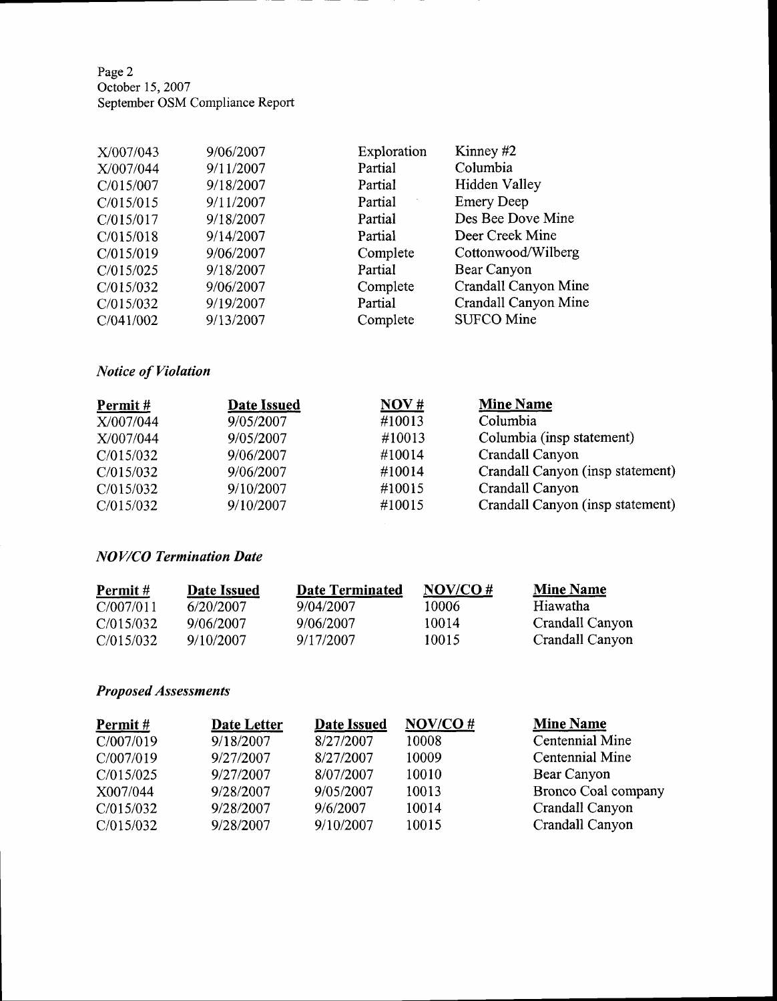Page2 October 15,2007 September OSM Compliance Report

| 9/06/2007 | Exploration | Kinney #2            |
|-----------|-------------|----------------------|
| 9/11/2007 | Partial     | Columbia             |
| 9/18/2007 | Partial     | Hidden Valley        |
| 9/11/2007 | Partial     | <b>Emery Deep</b>    |
| 9/18/2007 | Partial     | Des Bee Dove Mine    |
| 9/14/2007 | Partial     | Deer Creek Mine      |
| 9/06/2007 | Complete    | Cottonwood/Wilberg   |
| 9/18/2007 | Partial     | Bear Canyon          |
| 9/06/2007 | Complete    | Crandall Canyon Mine |
| 9/19/2007 | Partial     | Crandall Canyon Mine |
| 9/13/2007 | Complete    | <b>SUFCO Mine</b>    |
|           |             |                      |

## Notice of Violation

| Permit#   | Date Issued | NOV#   | <b>Mine Name</b>                 |
|-----------|-------------|--------|----------------------------------|
| X/007/044 | 9/05/2007   | #10013 | Columbia                         |
| X/007/044 | 9/05/2007   | #10013 | Columbia (insp statement)        |
| C/015/032 | 9/06/2007   | #10014 | Crandall Canyon                  |
| C/015/032 | 9/06/2007   | #10014 | Crandall Canyon (insp statement) |
| C/015/032 | 9/10/2007   | #10015 | Crandall Canyon                  |
| C/015/032 | 9/10/2007   | #10015 | Crandall Canyon (insp statement) |

#### NOV/CO Termination Dute

| Permit#   | Date Issued | Date Terminated | $NOV/CO \#$ | <b>Mine Name</b> |
|-----------|-------------|-----------------|-------------|------------------|
| C/007/011 | 6/20/2007   | 9/04/2007       | 10006       | Hiawatha         |
| C/015/032 | 9/06/2007   | 9/06/2007       | 10014       | Crandall Canyon  |
| C/015/032 | 9/10/2007   | 9/17/2007       | 10015       | Crandall Canyon  |

## Proposed Assessments

| Permit#   | Date Letter | <b>Date Issued</b> | NOV/CO# | <b>Mine Name</b>    |
|-----------|-------------|--------------------|---------|---------------------|
| C/007/019 | 9/18/2007   | 8/27/2007          | 10008   | Centennial Mine     |
| C/007/019 | 9/27/2007   | 8/27/2007          | 10009   | Centennial Mine     |
| C/015/025 | 9/27/2007   | 8/07/2007          | 10010   | Bear Canyon         |
| X007/044  | 9/28/2007   | 9/05/2007          | 10013   | Bronco Coal company |
| C/015/032 | 9/28/2007   | 9/6/2007           | 10014   | Crandall Canyon     |
| C/015/032 | 9/28/2007   | 9/10/2007          | 10015   | Crandall Canyon     |